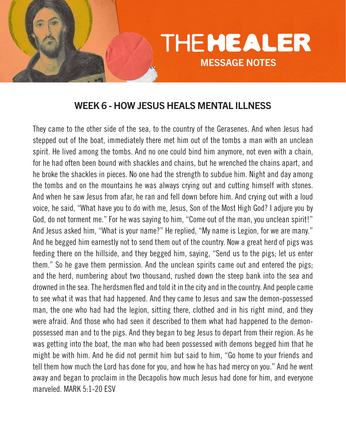

# WEEK 6 - HOW JESUS HEALS MENTAL ILLNESS

They came to the other side of the sea, to the country of the Gerasenes. And when Jesus had stepped out of the boat, immediately there met him out of the tombs a man with an unclean spirit. He lived among the tombs. And no one could bind him anymore, not even with a chain, for he had often been bound with shackles and chains, but he wrenched the chains apart, and he broke the shackles in pieces. No one had the strength to subdue him. Night and day among the tombs and on the mountains he was always crying out and cutting himself with stones. And when he saw Jesus from afar, he ran and fell down before him. And crying out with a loud voice, he said, "What have you to do with me, Jesus, Son of the Most High God? I adjure you by God, do not torment me." For he was saying to him, "Come out of the man, you unclean spirit!" And Jesus asked him, "What is your name?" He replied, "My name is Legion, for we are many." And he begged him earnestly not to send them out of the country. Now a great herd of pigs was feeding there on the hillside, and they begged him, saying, "Send us to the pigs; let us enter them." So he gave them permission. And the unclean spirits came out and entered the pigs; and the herd, numbering about two thousand, rushed down the steep bank into the sea and drowned in the sea. The herdsmen fled and told it in the city and in the country. And people came to see what it was that had happened. And they came to Jesus and saw the demon-possessed man, the one who had had the legion, sitting there, clothed and in his right mind, and they were afraid. And those who had seen it described to them what had happened to the demonpossessed man and to the pigs. And they began to beg Jesus to depart from their region. As he was getting into the boat, the man who had been possessed with demons begged him that he might be with him. And he did not permit him but said to him, "Go home to your friends and tell them how much the Lord has done for you, and how he has had mercy on you." And he went away and began to proclaim in the Decapolis how much Jesus had done for him, and everyone marveled. MARK 5:1-20 ESV